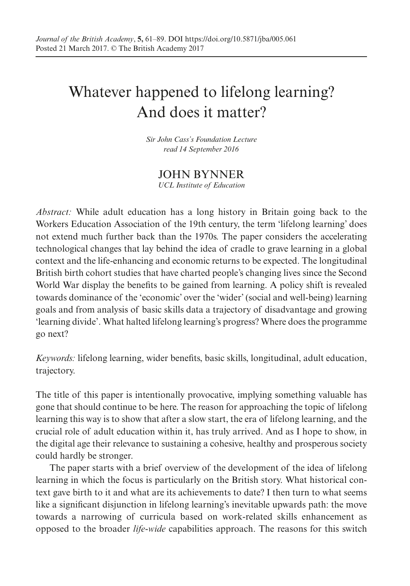# Whatever happened to lifelong learning? And does it matter?

*Sir John Cass's Foundation Lecture read 14 September 2016*

# JOHN BYNNER *UCL Institute of Education*

*Abstract:* While adult education has a long history in Britain going back to the Workers Education Association of the 19th century, the term 'lifelong learning' does not extend much further back than the 1970s. The paper considers the accelerating technological changes that lay behind the idea of cradle to grave learning in a global context and the life-enhancing and economic returns to be expected. The longitudinal British birth cohort studies that have charted people's changing lives since the Second World War display the benefits to be gained from learning. A policy shift is revealed towards dominance of the 'economic' over the 'wider' (social and well-being) learning goals and from analysis of basic skills data a trajectory of disadvantage and growing 'learning divide'. What halted lifelong learning's progress? Where does the programme go next?

*Keywords:* lifelong learning, wider benefits, basic skills, longitudinal, adult education, trajectory.

The title of this paper is intentionally provocative, implying something valuable has gone that should continue to be here. The reason for approaching the topic of lifelong learning this way is to show that after a slow start, the era of lifelong learning, and the crucial role of adult education within it, has truly arrived. And as I hope to show, in the digital age their relevance to sustaining a cohesive, healthy and prosperous society could hardly be stronger.

The paper starts with a brief overview of the development of the idea of lifelong learning in which the focus is particularly on the British story. What historical context gave birth to it and what are its achievements to date? I then turn to what seems like a significant disjunction in lifelong learning's inevitable upwards path: the move towards a narrowing of curricula based on work-related skills enhancement as opposed to the broader *life-wide* capabilities approach. The reasons for this switch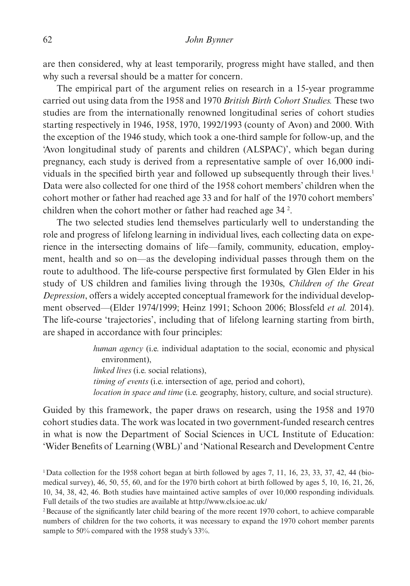are then considered, why at least temporarily, progress might have stalled, and then why such a reversal should be a matter for concern.

The empirical part of the argument relies on research in a 15-year programme carried out using data from the 1958 and 1970 *British Birth Cohort Studies.* These two studies are from the internationally renowned longitudinal series of cohort studies starting respectively in 1946, 1958, 1970, 1992/1993 (county of Avon) and 2000. With the exception of the 1946 study, which took a one-third sample for follow-up, and the 'Avon longitudinal study of parents and children (ALSPAC)', which began during pregnancy, each study is derived from a representative sample of over 16,000 individuals in the specified birth year and followed up subsequently through their lives.<sup>1</sup> Data were also collected for one third of the 1958 cohort members' children when the cohort mother or father had reached age 33 and for half of the 1970 cohort members' children when the cohort mother or father had reached age 34 2 .

The two selected studies lend themselves particularly well to understanding the role and progress of lifelong learning in individual lives, each collecting data on experience in the intersecting domains of life—family, community, education, employment, health and so on—as the developing individual passes through them on the route to adulthood. The life-course perspective first formulated by Glen Elder in his study of US children and families living through the 1930s, *Children of the Great Depression*, offers a widely accepted conceptual framework for the individual development observed—(Elder 1974/1999; Heinz 1991; Schoon 2006; Blossfeld *et al.* 2014). The life-course 'trajectories', including that of lifelong learning starting from birth, are shaped in accordance with four principles:

> *human agency* (i.e. individual adaptation to the social, economic and physical environment), *linked lives* (i.e. social relations), *timing of events* (i.e. intersection of age, period and cohort), *location in space and time* (i.e. geography, history, culture, and social structure).

Guided by this framework, the paper draws on research, using the 1958 and 1970 cohort studies data. The work was located in two government-funded research centres in what is now the Department of Social Sciences in UCL Institute of Education: 'Wider Benefits of Learning (WBL)' and 'National Research and Development Centre

<sup>1</sup>Data collection for the 1958 cohort began at birth followed by ages 7, 11, 16, 23, 33, 37, 42, 44 (biomedical survey), 46, 50, 55, 60, and for the 1970 birth cohort at birth followed by ages 5, 10, 16, 21, 26, 10, 34, 38, 42, 46. Both studies have maintained active samples of over 10,000 responding individuals. Full details of the two studies are available at http://www.cls.ioe.ac.uk/

<sup>2</sup>Because of the significantly later child bearing of the more recent 1970 cohort, to achieve comparable numbers of children for the two cohorts, it was necessary to expand the 1970 cohort member parents sample to 50% compared with the 1958 study's 33%.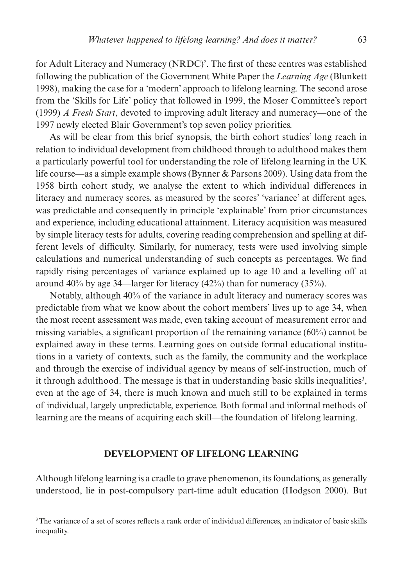for Adult Literacy and Numeracy (NRDC)'. The first of these centres was established following the publication of the Government White Paper the *Learning Age* (Blunkett 1998), making the case for a 'modern' approach to lifelong learning. The second arose from the 'Skills for Life' policy that followed in 1999, the Moser Committee's report (1999) *A Fresh Start*, devoted to improving adult literacy and numeracy—one of the 1997 newly elected Blair Government's top seven policy priorities.

As will be clear from this brief synopsis, the birth cohort studies' long reach in relation to individual development from childhood through to adulthood makes them a particularly powerful tool for understanding the role of lifelong learning in the UK life course—as a simple example shows (Bynner & Parsons 2009). Using data from the 1958 birth cohort study, we analyse the extent to which individual differences in literacy and numeracy scores, as measured by the scores' 'variance' at different ages, was predictable and consequently in principle 'explainable' from prior circumstances and experience, including educational attainment. Literacy acquisition was measured by simple literacy tests for adults, covering reading comprehension and spelling at different levels of difficulty. Similarly, for numeracy, tests were used involving simple calculations and numerical understanding of such concepts as percentages. We find rapidly rising percentages of variance explained up to age 10 and a levelling off at around 40% by age 34—larger for literacy (42%) than for numeracy (35%).

Notably, although 40% of the variance in adult literacy and numeracy scores was predictable from what we know about the cohort members' lives up to age 34, when the most recent assessment was made, even taking account of measurement error and missing variables, a significant proportion of the remaining variance (60%) cannot be explained away in these terms. Learning goes on outside formal educational institutions in a variety of contexts, such as the family, the community and the workplace and through the exercise of individual agency by means of self-instruction, much of it through adulthood. The message is that in understanding basic skills inequalities<sup>3</sup>, even at the age of 34, there is much known and much still to be explained in terms of individual, largely unpredictable, experience. Both formal and informal methods of learning are the means of acquiring each skill—the foundation of lifelong learning.

## **DEVELOPMENT OF LIFELONG LEARNING**

Although lifelong learning is a cradle to grave phenomenon, its foundations, as generally understood, lie in post-compulsory part-time adult education (Hodgson 2000). But

<sup>&</sup>lt;sup>3</sup>The variance of a set of scores reflects a rank order of individual differences, an indicator of basic skills inequality.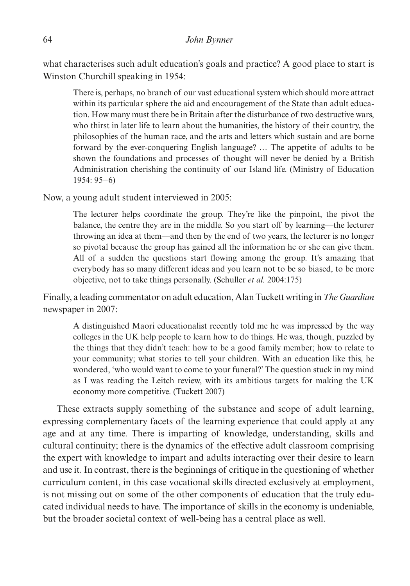what characterises such adult education's goals and practice? A good place to start is Winston Churchill speaking in 1954:

There is, perhaps, no branch of our vast educational system which should more attract within its particular sphere the aid and encouragement of the State than adult education. How many must there be in Britain after the disturbance of two destructive wars, who thirst in later life to learn about the humanities, the history of their country, the philosophies of the human race, and the arts and letters which sustain and are borne forward by the ever-conquering English language? … The appetite of adults to be shown the foundations and processes of thought will never be denied by a British Administration cherishing the continuity of our Island life. (Ministry of Education 1954: 95−6)

Now, a young adult student interviewed in 2005:

The lecturer helps coordinate the group. They're like the pinpoint, the pivot the balance, the centre they are in the middle. So you start off by learning—the lecturer throwing an idea at them—and then by the end of two years, the lecturer is no longer so pivotal because the group has gained all the information he or she can give them. All of a sudden the questions start flowing among the group. It's amazing that everybody has so many different ideas and you learn not to be so biased, to be more objective, not to take things personally. (Schuller *et al.* 2004:175)

Finally, a leading commentator on adult education, Alan Tuckett writing in *The Guardian* newspaper in 2007:

A distinguished Maori educationalist recently told me he was impressed by the way colleges in the UK help people to learn how to do things. He was, though, puzzled by the things that they didn't teach: how to be a good family member; how to relate to your community; what stories to tell your children. With an education like this, he wondered, 'who would want to come to your funeral?' The question stuck in my mind as I was reading the Leitch review, with its ambitious targets for making the UK economy more competitive. (Tuckett 2007)

These extracts supply something of the substance and scope of adult learning, expressing complementary facets of the learning experience that could apply at any age and at any time. There is imparting of knowledge, understanding, skills and cultural continuity; there is the dynamics of the effective adult classroom comprising the expert with knowledge to impart and adults interacting over their desire to learn and use it. In contrast, there is the beginnings of critique in the questioning of whether curriculum content, in this case vocational skills directed exclusively at employment, is not missing out on some of the other components of education that the truly educated individual needs to have. The importance of skills in the economy is undeniable, but the broader societal context of well-being has a central place as well.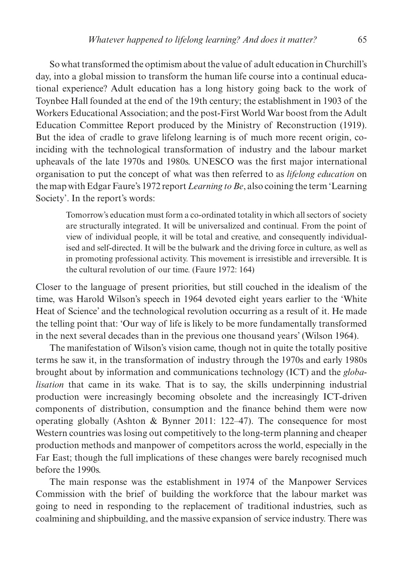So what transformed the optimism about the value of adult education in Churchill's day, into a global mission to transform the human life course into a continual educational experience? Adult education has a long history going back to the work of Toynbee Hall founded at the end of the 19th century; the establishment in 1903 of the Workers Educational Association; and the post-First World War boost from the Adult Education Committee Report produced by the Ministry of Reconstruction (1919). But the idea of cradle to grave lifelong learning is of much more recent origin, coinciding with the technological transformation of industry and the labour market upheavals of the late 1970s and 1980s. UNESCO was the first major international organisation to put the concept of what was then referred to as *lifelong education* on the map with Edgar Faure's 1972 report *Learning to Be*, also coining the term 'Learning Society'. In the report's words:

Tomorrow's education must form a co-ordinated totality in which all sectors of society are structurally integrated. It will be universalized and continual. From the point of view of individual people, it will be total and creative, and consequently individualised and self-directed. It will be the bulwark and the driving force in culture, as well as in promoting professional activity. This movement is irresistible and irreversible. It is the cultural revolution of our time. (Faure 1972: 164)

Closer to the language of present priorities, but still couched in the idealism of the time, was Harold Wilson's speech in 1964 devoted eight years earlier to the 'White Heat of Science' and the technological revolution occurring as a result of it. He made the telling point that: 'Our way of life is likely to be more fundamentally transformed in the next several decades than in the previous one thousand years' (Wilson 1964).

The manifestation of Wilson's vision came, though not in quite the totally positive terms he saw it, in the transformation of industry through the 1970s and early 1980s brought about by information and communications technology (ICT) and the *globalisation* that came in its wake. That is to say, the skills underpinning industrial production were increasingly becoming obsolete and the increasingly ICT-driven components of distribution, consumption and the finance behind them were now operating globally (Ashton & Bynner 2011: 122–47). The consequence for most Western countries was losing out competitively to the long-term planning and cheaper production methods and manpower of competitors across the world, especially in the Far East; though the full implications of these changes were barely recognised much before the 1990s.

The main response was the establishment in 1974 of the Manpower Services Commission with the brief of building the workforce that the labour market was going to need in responding to the replacement of traditional industries, such as coalmining and shipbuilding, and the massive expansion of service industry. There was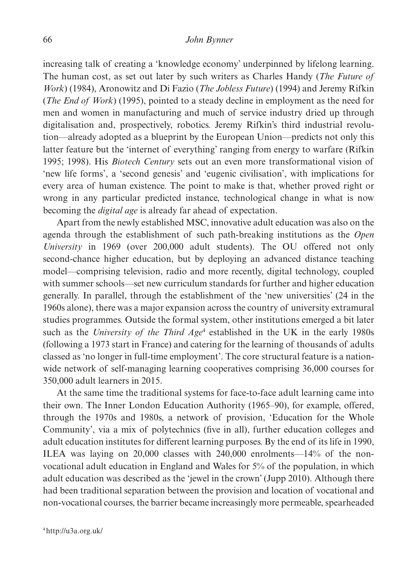increasing talk of creating a 'knowledge economy' underpinned by lifelong learning. The human cost, as set out later by such writers as Charles Handy (*The Future of Work*) (1984), Aronowitz and Di Fazio (*The Jobless Future*) (1994) and Jeremy Rifkin (*The End of Work*) (1995), pointed to a steady decline in employment as the need for men and women in manufacturing and much of service industry dried up through digitalisation and, prospectively, robotics. Jeremy Rifkin's third industrial revolution—already adopted as a blueprint by the European Union—predicts not only this latter feature but the 'internet of everything' ranging from energy to warfare (Rifkin 1995; 1998). His *Biotech Century* sets out an even more transformational vision of 'new life forms', a 'second genesis' and 'eugenic civilisation', with implications for every area of human existence. The point to make is that, whether proved right or wrong in any particular predicted instance, technological change in what is now becoming the *digital age* is already far ahead of expectation.

Apart from the newly established MSC, innovative adult education was also on the agenda through the establishment of such path-breaking institutions as the *Open University* in 1969 (over 200,000 adult students). The OU offered not only second-chance higher education, but by deploying an advanced distance teaching model—comprising television, radio and more recently, digital technology, coupled with summer schools—set new curriculum standards for further and higher education generally. In parallel, through the establishment of the 'new universities' (24 in the 1960s alone), there was a major expansion across the country of university extramural studies programmes. Outside the formal system, other institutions emerged a bit later such as the *University of the Third Age*<sup>4</sup> established in the UK in the early 1980s (following a 1973 start in France) and catering for the learning of thousands of adults classed as 'no longer in full-time employment'. The core structural feature is a nationwide network of self-managing learning cooperatives comprising 36,000 courses for 350,000 adult learners in 2015.

At the same time the traditional systems for face-to-face adult learning came into their own. The Inner London Education Authority (1965–90), for example, offered, through the 1970s and 1980s, a network of provision, 'Education for the Whole Community', via a mix of polytechnics (five in all), further education colleges and adult education institutes for different learning purposes. By the end of its life in 1990, ILEA was laying on 20,000 classes with 240,000 enrolments—14% of the nonvocational adult education in England and Wales for 5% of the population, in which adult education was described as the 'jewel in the crown' (Jupp 2010). Although there had been traditional separation between the provision and location of vocational and non-vocational courses, the barrier became increasingly more permeable, spearheaded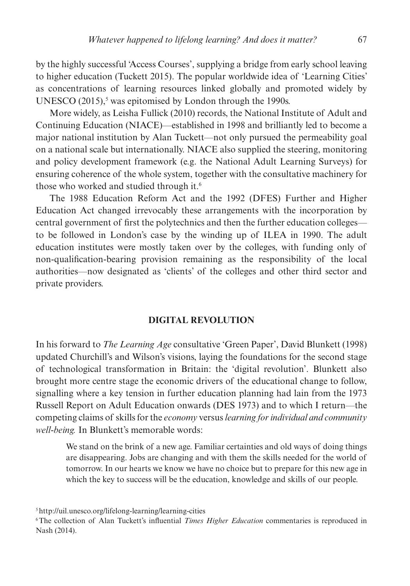by the highly successful 'Access Courses', supplying a bridge from early school leaving to higher education (Tuckett 2015). The popular worldwide idea of 'Learning Cities' as concentrations of learning resources linked globally and promoted widely by UNESCO  $(2015)$ ,<sup>5</sup> was epitomised by London through the 1990s.

More widely, as Leisha Fullick (2010) records, the National Institute of Adult and Continuing Education (NIACE)—established in 1998 and brilliantly led to become a major national institution by Alan Tuckett—not only pursued the permeability goal on a national scale but internationally. NIACE also supplied the steering, monitoring and policy development framework (e.g. the National Adult Learning Surveys) for ensuring coherence of the whole system, together with the consultative machinery for those who worked and studied through it.<sup>6</sup>

The 1988 Education Reform Act and the 1992 (DFES) Further and Higher Education Act changed irrevocably these arrangements with the incorporation by central government of first the polytechnics and then the further education colleges to be followed in London's case by the winding up of ILEA in 1990. The adult education institutes were mostly taken over by the colleges, with funding only of non-qualification-bearing provision remaining as the responsibility of the local authorities—now designated as 'clients' of the colleges and other third sector and private providers.

# **DIGITAL REVOLUTION**

In his forward to *The Learning Age* consultative 'Green Paper', David Blunkett (1998) updated Churchill's and Wilson's visions, laying the foundations for the second stage of technological transformation in Britain: the 'digital revolution'. Blunkett also brought more centre stage the economic drivers of the educational change to follow, signalling where a key tension in further education planning had lain from the 1973 Russell Report on Adult Education onwards (DES 1973) and to which I return—the competing claims of skills for the *economy* versus *learning for individual and community well-being.* In Blunkett's memorable words:

We stand on the brink of a new age. Familiar certainties and old ways of doing things are disappearing. Jobs are changing and with them the skills needed for the world of tomorrow. In our hearts we know we have no choice but to prepare for this new age in which the key to success will be the education, knowledge and skills of our people.

<sup>5</sup>http://uil.unesco.org/lifelong-learning/learning-cities

<sup>6</sup>The collection of Alan Tuckett's influential *Times Higher Education* commentaries is reproduced in Nash (2014).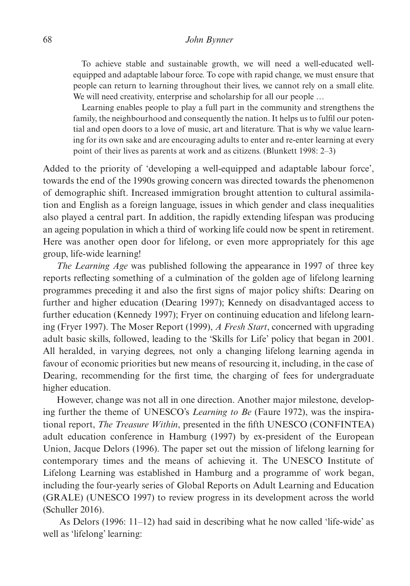### 68 *John Bynner*

To achieve stable and sustainable growth, we will need a well-educated wellequipped and adaptable labour force. To cope with rapid change, we must ensure that people can return to learning throughout their lives, we cannot rely on a small elite. We will need creativity, enterprise and scholarship for all our people ...

Learning enables people to play a full part in the community and strengthens the family, the neighbourhood and consequently the nation. It helps us to fulfil our potential and open doors to a love of music, art and literature. That is why we value learning for its own sake and are encouraging adults to enter and re-enter learning at every point of their lives as parents at work and as citizens. (Blunkett 1998: 2–3)

Added to the priority of 'developing a well-equipped and adaptable labour force', towards the end of the 1990s growing concern was directed towards the phenomenon of demographic shift. Increased immigration brought attention to cultural assimilation and English as a foreign language, issues in which gender and class inequalities also played a central part. In addition, the rapidly extending lifespan was producing an ageing population in which a third of working life could now be spent in retirement. Here was another open door for lifelong, or even more appropriately for this age group, life-wide learning!

*The Learning Age* was published following the appearance in 1997 of three key reports reflecting something of a culmination of the golden age of lifelong learning programmes preceding it and also the first signs of major policy shifts: Dearing on further and higher education (Dearing 1997); Kennedy on disadvantaged access to further education (Kennedy 1997); Fryer on continuing education and lifelong learning (Fryer 1997). The Moser Report (1999), *A Fresh Start*, concerned with upgrading adult basic skills, followed, leading to the 'Skills for Life' policy that began in 2001. All heralded, in varying degrees, not only a changing lifelong learning agenda in favour of economic priorities but new means of resourcing it, including, in the case of Dearing, recommending for the first time, the charging of fees for undergraduate higher education.

However, change was not all in one direction. Another major milestone, developing further the theme of UNESCO's *Learning to Be* (Faure 1972), was the inspirational report, *The Treasure Within*, presented in the fifth UNESCO (CONFINTEA) adult education conference in Hamburg (1997) by ex-president of the European Union, Jacque Delors (1996). The paper set out the mission of lifelong learning for contemporary times and the means of achieving it. The UNESCO Institute of Lifelong Learning was established in Hamburg and a programme of work began, including the four-yearly series of Global Reports on Adult Learning and Education (GRALE) (UNESCO 1997) to review progress in its development across the world (Schuller 2016).

 As Delors (1996: 11–12) had said in describing what he now called 'life-wide' as well as 'lifelong' learning: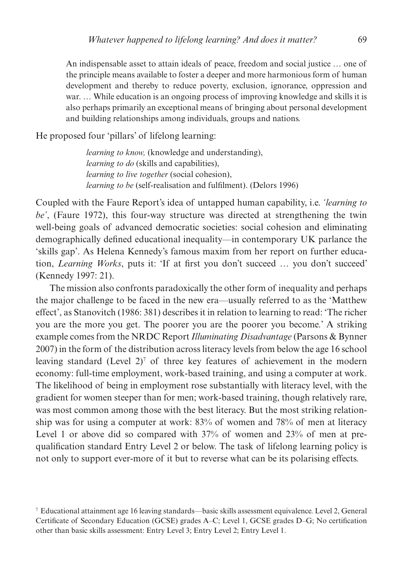An indispensable asset to attain ideals of peace, freedom and social justice … one of the principle means available to foster a deeper and more harmonious form of human development and thereby to reduce poverty, exclusion, ignorance, oppression and war. … While education is an ongoing process of improving knowledge and skills it is also perhaps primarily an exceptional means of bringing about personal development and building relationships among individuals, groups and nations.

He proposed four 'pillars' of lifelong learning:

*learning to know,* (knowledge and understanding), *learning to do* (skills and capabilities), *learning to live together* (social cohesion), *learning to be* (self-realisation and fulfilment). (Delors 1996)

Coupled with the Faure Report's idea of untapped human capability, i.e. *'learning to be'*, (Faure 1972), this four-way structure was directed at strengthening the twin well-being goals of advanced democratic societies: social cohesion and eliminating demographically defined educational inequality—in contemporary UK parlance the 'skills gap'. As Helena Kennedy's famous maxim from her report on further education, *Learning Works*, puts it: 'If at first you don't succeed … you don't succeed' (Kennedy 1997: 21).

The mission also confronts paradoxically the other form of inequality and perhaps the major challenge to be faced in the new era—usually referred to as the 'Matthew effect', as Stanovitch (1986: 381) describes it in relation to learning to read: 'The richer you are the more you get. The poorer you are the poorer you become.' A striking example comes from the NRDC Report *Illuminating Disadvantage* (Parsons & Bynner 2007) in the form of the distribution across literacy levels from below the age 16 school leaving standard (Level  $2^{\gamma}$  of three key features of achievement in the modern economy: full-time employment, work-based training, and using a computer at work. The likelihood of being in employment rose substantially with literacy level, with the gradient for women steeper than for men; work-based training, though relatively rare, was most common among those with the best literacy. But the most striking relationship was for using a computer at work: 83% of women and 78% of men at literacy Level 1 or above did so compared with 37% of women and 23% of men at prequalification standard Entry Level 2 or below. The task of lifelong learning policy is not only to support ever-more of it but to reverse what can be its polarising effects.

<sup>7</sup> Educational attainment age 16 leaving standards—basic skills assessment equivalence. Level 2, General Certificate of Secondary Education (GCSE) grades A–C; Level 1, GCSE grades D–G; No certification other than basic skills assessment: Entry Level 3; Entry Level 2; Entry Level 1.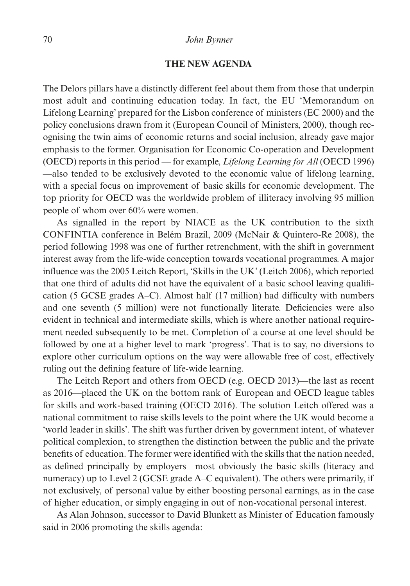#### **THE NEW AGENDA**

The Delors pillars have a distinctly different feel about them from those that underpin most adult and continuing education today. In fact, the EU 'Memorandum on Lifelong Learning' prepared for the Lisbon conference of ministers (EC 2000) and the policy conclusions drawn from it (European Council of Ministers, 2000), though recognising the twin aims of economic returns and social inclusion, already gave major emphasis to the former. Organisation for Economic Co-operation and Development (OECD) reports in this period — for example, *Lifelong Learning for All* (OECD 1996) —also tended to be exclusively devoted to the economic value of lifelong learning, with a special focus on improvement of basic skills for economic development. The top priority for OECD was the worldwide problem of illiteracy involving 95 million people of whom over 60% were women.

As signalled in the report by NIACE as the UK contribution to the sixth CONFINTIA conference in Belém Brazil, 2009 (McNair & Quintero-Re 2008), the period following 1998 was one of further retrenchment, with the shift in government interest away from the life-wide conception towards vocational programmes. A major influence was the 2005 Leitch Report, 'Skills in the UK' (Leitch 2006), which reported that one third of adults did not have the equivalent of a basic school leaving qualification (5 GCSE grades A–C). Almost half (17 million) had difficulty with numbers and one seventh (5 million) were not functionally literate. Deficiencies were also evident in technical and intermediate skills, which is where another national requirement needed subsequently to be met. Completion of a course at one level should be followed by one at a higher level to mark 'progress'. That is to say, no diversions to explore other curriculum options on the way were allowable free of cost, effectively ruling out the defining feature of life-wide learning.

The Leitch Report and others from OECD (e.g. OECD 2013)—the last as recent as 2016—placed the UK on the bottom rank of European and OECD league tables for skills and work-based training (OECD 2016). The solution Leitch offered was a national commitment to raise skills levels to the point where the UK would become a 'world leader in skills'. The shift was further driven by government intent, of whatever political complexion, to strengthen the distinction between the public and the private benefits of education. The former were identified with the skills that the nation needed, as defined principally by employers—most obviously the basic skills (literacy and numeracy) up to Level 2 (GCSE grade A–C equivalent). The others were primarily, if not exclusively, of personal value by either boosting personal earnings, as in the case of higher education, or simply engaging in out of non-vocational personal interest.

As Alan Johnson, successor to David Blunkett as Minister of Education famously said in 2006 promoting the skills agenda: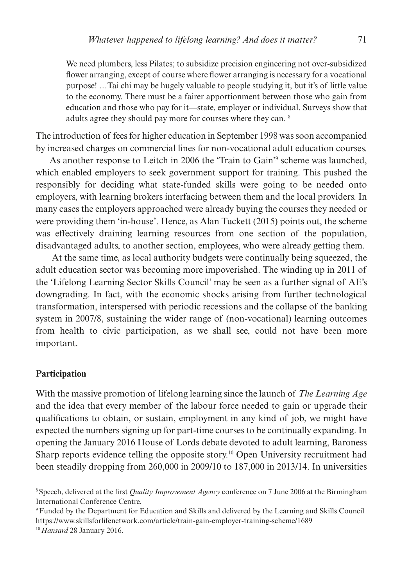We need plumbers, less Pilates; to subsidize precision engineering not over-subsidized flower arranging, except of course where flower arranging is necessary for a vocational purpose! …Tai chi may be hugely valuable to people studying it, but it's of little value to the economy. There must be a fairer apportionment between those who gain from education and those who pay for it—state, employer or individual. Surveys show that adults agree they should pay more for courses where they can. 8

The introduction of fees for higher education in September 1998 was soon accompanied by increased charges on commercial lines for non-vocational adult education courses.

As another response to Leitch in 2006 the 'Train to Gain'<sup>9</sup> scheme was launched, which enabled employers to seek government support for training. This pushed the responsibly for deciding what state-funded skills were going to be needed onto employers, with learning brokers interfacing between them and the local providers. In many cases the employers approached were already buying the courses they needed or were providing them 'in-house'. Hence, as Alan Tuckett (2015) points out, the scheme was effectively draining learning resources from one section of the population, disadvantaged adults, to another section, employees, who were already getting them.

 At the same time, as local authority budgets were continually being squeezed, the adult education sector was becoming more impoverished. The winding up in 2011 of the 'Lifelong Learning Sector Skills Council' may be seen as a further signal of AE's downgrading. In fact, with the economic shocks arising from further technological transformation, interspersed with periodic recessions and the collapse of the banking system in 2007/8, sustaining the wider range of (non-vocational) learning outcomes from health to civic participation, as we shall see, could not have been more important.

# **Participation**

With the massive promotion of lifelong learning since the launch of *The Learning Age* and the idea that every member of the labour force needed to gain or upgrade their qualifications to obtain, or sustain, employment in any kind of job, we might have expected the numbers signing up for part-time courses to be continually expanding. In opening the January 2016 House of Lords debate devoted to adult learning, Baroness Sharp reports evidence telling the opposite story.10 Open University recruitment had been steadily dropping from 260,000 in 2009/10 to 187,000 in 2013/14. In universities

<sup>8</sup>Speech, delivered at the first *Quality Improvement Agency* conference on 7 June 2006 at the Birmingham International Conference Centre.

<sup>9</sup>Funded by the Department for Education and Skills and delivered by the Learning and Skills Council https://www.skillsforlifenetwork.com/article/train-gain-employer-training-scheme/1689

<sup>10</sup>*Hansard* 28 January 2016.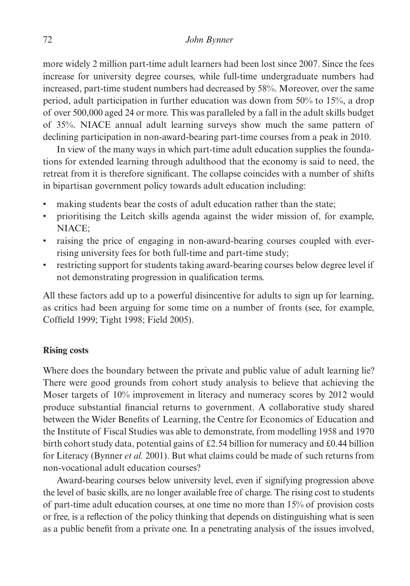more widely 2 million part-time adult learners had been lost since 2007. Since the fees increase for university degree courses, while full-time undergraduate numbers had increased, part-time student numbers had decreased by 58%. Moreover, over the same period, adult participation in further education was down from 50% to 15%, a drop of over 500,000 aged 24 or more. This was paralleled by a fall in the adult skills budget of 35%. NIACE annual adult learning surveys show much the same pattern of declining participation in non-award-bearing part-time courses from a peak in 2010.

In view of the many ways in which part-time adult education supplies the foundations for extended learning through adulthood that the economy is said to need, the retreat from it is therefore significant. The collapse coincides with a number of shifts in bipartisan government policy towards adult education including:

- making students bear the costs of adult education rather than the state;
- prioritising the Leitch skills agenda against the wider mission of, for example, NIACE;
- raising the price of engaging in non-award-bearing courses coupled with everrising university fees for both full-time and part-time study;
- restricting support for students taking award-bearing courses below degree level if not demonstrating progression in qualification terms.

All these factors add up to a powerful disincentive for adults to sign up for learning, as critics had been arguing for some time on a number of fronts (see, for example, Coffield 1999; Tight 1998; Field 2005).

## **Rising costs**

Where does the boundary between the private and public value of adult learning lie? There were good grounds from cohort study analysis to believe that achieving the Moser targets of 10% improvement in literacy and numeracy scores by 2012 would produce substantial financial returns to government. A collaborative study shared between the Wider Benefits of Learning, the Centre for Economics of Education and the Institute of Fiscal Studies was able to demonstrate, from modelling 1958 and 1970 birth cohort study data, potential gains of £2.54 billion for numeracy and £0.44 billion for Literacy (Bynner *et al.* 2001). But what claims could be made of such returns from non-vocational adult education courses?

Award-bearing courses below university level, even if signifying progression above the level of basic skills, are no longer available free of charge. The rising cost to students of part-time adult education courses, at one time no more than 15% of provision costs or free, is a reflection of the policy thinking that depends on distinguishing what is seen as a public benefit from a private one. In a penetrating analysis of the issues involved,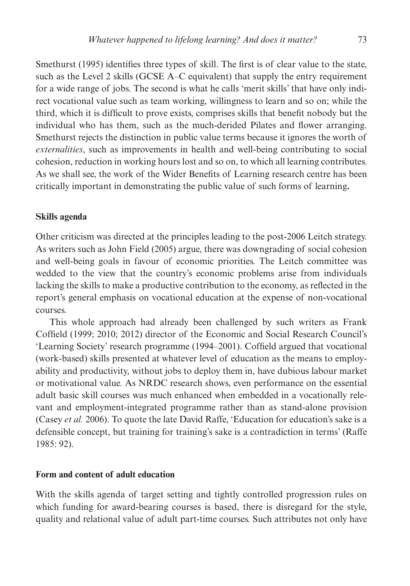Smethurst (1995) identifies three types of skill. The first is of clear value to the state, such as the Level 2 skills (GCSE A–C equivalent) that supply the entry requirement for a wide range of jobs. The second is what he calls 'merit skills' that have only indirect vocational value such as team working, willingness to learn and so on; while the third, which it is difficult to prove exists, comprises skills that benefit nobody but the individual who has them, such as the much-derided Pilates and flower arranging. Smethurst rejects the distinction in public value terms because it ignores the worth of *externalities*, such as improvements in health and well-being contributing to social cohesion, reduction in working hours lost and so on, to which all learning contributes. As we shall see, the work of the Wider Benefits of Learning research centre has been critically important in demonstrating the public value of such forms of learning**.**

## **Skills agenda**

Other criticism was directed at the principles leading to the post-2006 Leitch strategy. As writers such as John Field (2005) argue, there was downgrading of social cohesion and well-being goals in favour of economic priorities. The Leitch committee was wedded to the view that the country's economic problems arise from individuals lacking the skills to make a productive contribution to the economy, as reflected in the report's general emphasis on vocational education at the expense of non-vocational courses.

This whole approach had already been challenged by such writers as Frank Coffield (1999; 2010; 2012) director of the Economic and Social Research Council's 'Learning Society' research programme (1994–2001). Coffield argued that vocational (work-based) skills presented at whatever level of education as the means to employability and productivity, without jobs to deploy them in, have dubious labour market or motivational value. As NRDC research shows, even performance on the essential adult basic skill courses was much enhanced when embedded in a vocationally relevant and employment-integrated programme rather than as stand-alone provision (Casey *et al.* 2006). To quote the late David Raffe, 'Education for education's sake is a defensible concept, but training for training's sake is a contradiction in terms' (Raffe 1985: 92).

## **Form and content of adult education**

With the skills agenda of target setting and tightly controlled progression rules on which funding for award-bearing courses is based, there is disregard for the style, quality and relational value of adult part-time courses. Such attributes not only have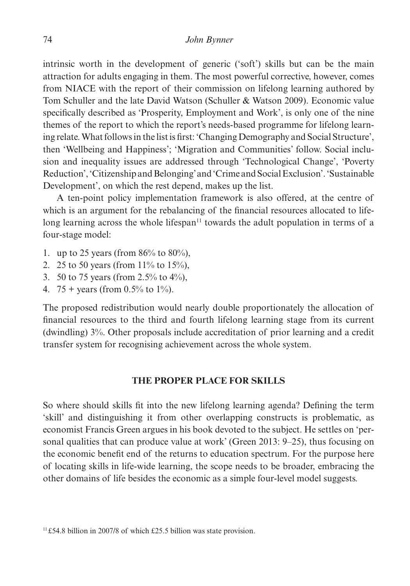intrinsic worth in the development of generic ('soft') skills but can be the main attraction for adults engaging in them. The most powerful corrective, however, comes from NIACE with the report of their commission on lifelong learning authored by Tom Schuller and the late David Watson (Schuller & Watson 2009). Economic value specifically described as 'Prosperity, Employment and Work', is only one of the nine themes of the report to which the report's needs-based programme for lifelong learning relate. What follows in the list is first: 'Changing Demography and Social Structure', then 'Wellbeing and Happiness'; 'Migration and Communities' follow. Social inclusion and inequality issues are addressed through 'Technological Change', 'Poverty Reduction', 'Citizenship and Belonging' and 'Crime and Social Exclusion'. 'Sustainable Development', on which the rest depend, makes up the list.

A ten-point policy implementation framework is also offered, at the centre of which is an argument for the rebalancing of the financial resources allocated to lifelong learning across the whole lifespan<sup>11</sup> towards the adult population in terms of a four-stage model:

- 1. up to 25 years (from  $86\%$  to  $80\%$ ),
- 2. 25 to 50 years (from  $11\%$  to  $15\%$ ),
- 3. 50 to 75 years (from  $2.5\%$  to  $4\%$ ),
- 4. 75 + years (from  $0.5\%$  to  $1\%$ ).

The proposed redistribution would nearly double proportionately the allocation of financial resources to the third and fourth lifelong learning stage from its current (dwindling) 3%. Other proposals include accreditation of prior learning and a credit transfer system for recognising achievement across the whole system.

## **THE PROPER PLACE FOR SKILLS**

So where should skills fit into the new lifelong learning agenda? Defining the term 'skill' and distinguishing it from other overlapping constructs is problematic, as economist Francis Green argues in his book devoted to the subject. He settles on 'personal qualities that can produce value at work' (Green 2013: 9–25), thus focusing on the economic benefit end of the returns to education spectrum. For the purpose here of locating skills in life-wide learning, the scope needs to be broader, embracing the other domains of life besides the economic as a simple four-level model suggests.

<sup>&</sup>lt;sup>11</sup> £54.8 billion in 2007/8 of which £25.5 billion was state provision.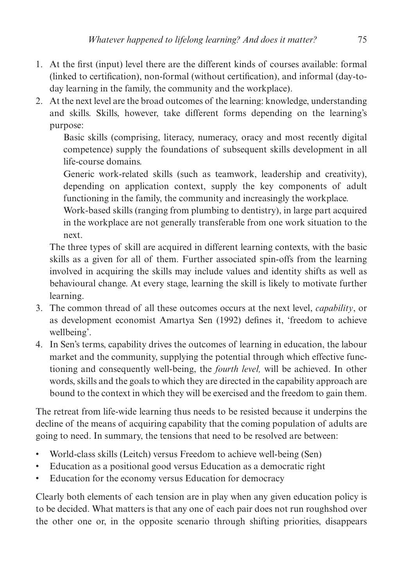- 1. At the first (input) level there are the different kinds of courses available: formal (linked to certification), non-formal (without certification), and informal (day-today learning in the family, the community and the workplace).
- 2. At the next level are the broad outcomes of the learning: knowledge, understanding and skills. Skills, however, take different forms depending on the learning's purpose:

Basic skills (comprising, literacy, numeracy, oracy and most recently digital competence) supply the foundations of subsequent skills development in all life-course domains.

Generic work-related skills (such as teamwork, leadership and creativity), depending on application context, supply the key components of adult functioning in the family, the community and increasingly the workplace.

Work-based skills (ranging from plumbing to dentistry), in large part acquired in the workplace are not generally transferable from one work situation to the next.

The three types of skill are acquired in different learning contexts, with the basic skills as a given for all of them. Further associated spin-offs from the learning involved in acquiring the skills may include values and identity shifts as well as behavioural change. At every stage, learning the skill is likely to motivate further learning.

- 3. The common thread of all these outcomes occurs at the next level, *capability*, or as development economist Amartya Sen (1992) defines it, 'freedom to achieve wellbeing'.
- 4. In Sen's terms, capability drives the outcomes of learning in education, the labour market and the community, supplying the potential through which effective functioning and consequently well-being, the *fourth level,* will be achieved. In other words, skills and the goals to which they are directed in the capability approach are bound to the context in which they will be exercised and the freedom to gain them.

The retreat from life-wide learning thus needs to be resisted because it underpins the decline of the means of acquiring capability that the coming population of adults are going to need. In summary, the tensions that need to be resolved are between:

- World-class skills (Leitch) versus Freedom to achieve well-being (Sen)
- Education as a positional good versus Education as a democratic right
- Education for the economy versus Education for democracy

Clearly both elements of each tension are in play when any given education policy is to be decided. What matters is that any one of each pair does not run roughshod over the other one or, in the opposite scenario through shifting priorities, disappears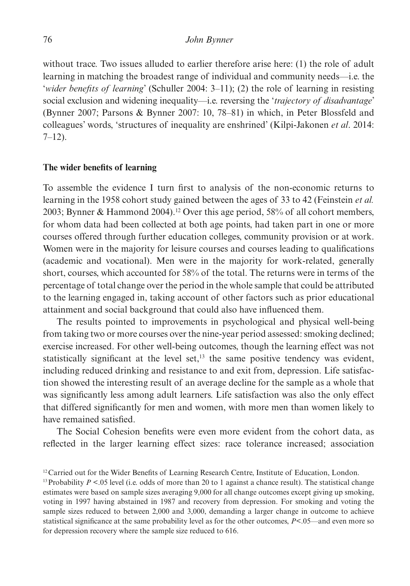without trace. Two issues alluded to earlier therefore arise here: (1) the role of adult learning in matching the broadest range of individual and community needs—i.e. the '*wider benefits of learning*' (Schuller 2004: 3–11); (2) the role of learning in resisting social exclusion and widening inequality—i.e. reversing the '*trajectory of disadvantage*' (Bynner 2007; Parsons & Bynner 2007: 10, 78–81) in which, in Peter Blossfeld and colleagues' words, 'structures of inequality are enshrined' (Kilpi-Jakonen *et al*. 2014:  $7-12$ ).

## **The wider benefits of learning**

To assemble the evidence I turn first to analysis of the non-economic returns to learning in the 1958 cohort study gained between the ages of 33 to 42 (Feinstein *et al.* 2003; Bynner & Hammond 2004).12 Over this age period, 58% of all cohort members, for whom data had been collected at both age points, had taken part in one or more courses offered through further education colleges, community provision or at work. Women were in the majority for leisure courses and courses leading to qualifications (academic and vocational). Men were in the majority for work-related, generally short, courses, which accounted for 58% of the total. The returns were in terms of the percentage of total change over the period in the whole sample that could be attributed to the learning engaged in, taking account of other factors such as prior educational attainment and social background that could also have influenced them.

The results pointed to improvements in psychological and physical well-being from taking two or more courses over the nine-year period assessed: smoking declined; exercise increased. For other well-being outcomes, though the learning effect was not statistically significant at the level set, $<sup>13</sup>$  the same positive tendency was evident,</sup> including reduced drinking and resistance to and exit from, depression. Life satisfaction showed the interesting result of an average decline for the sample as a whole that was significantly less among adult learners. Life satisfaction was also the only effect that differed significantly for men and women, with more men than women likely to have remained satisfied.

The Social Cohesion benefits were even more evident from the cohort data, as reflected in the larger learning effect sizes: race tolerance increased; association

<sup>&</sup>lt;sup>12</sup>Carried out for the Wider Benefits of Learning Research Centre, Institute of Education, London.

<sup>&</sup>lt;sup>13</sup> Probability  $P < 0.05$  level (i.e. odds of more than 20 to 1 against a chance result). The statistical change estimates were based on sample sizes averaging 9,000 for all change outcomes except giving up smoking, voting in 1997 having abstained in 1987 and recovery from depression. For smoking and voting the sample sizes reduced to between 2,000 and 3,000, demanding a larger change in outcome to achieve statistical significance at the same probability level as for the other outcomes, *P*<.05—and even more so for depression recovery where the sample size reduced to 616.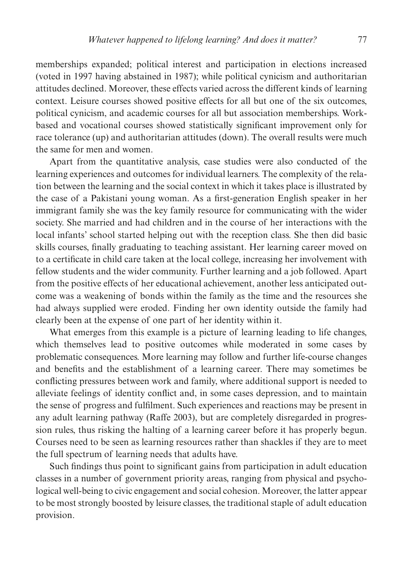memberships expanded; political interest and participation in elections increased (voted in 1997 having abstained in 1987); while political cynicism and authoritarian attitudes declined. Moreover, these effects varied across the different kinds of learning context. Leisure courses showed positive effects for all but one of the six outcomes, political cynicism, and academic courses for all but association memberships. Workbased and vocational courses showed statistically significant improvement only for race tolerance (up) and authoritarian attitudes (down). The overall results were much the same for men and women.

Apart from the quantitative analysis, case studies were also conducted of the learning experiences and outcomes for individual learners. The complexity of the relation between the learning and the social context in which it takes place is illustrated by the case of a Pakistani young woman. As a first-generation English speaker in her immigrant family she was the key family resource for communicating with the wider society. She married and had children and in the course of her interactions with the local infants' school started helping out with the reception class. She then did basic skills courses, finally graduating to teaching assistant. Her learning career moved on to a certificate in child care taken at the local college, increasing her involvement with fellow students and the wider community. Further learning and a job followed. Apart from the positive effects of her educational achievement, another less anticipated outcome was a weakening of bonds within the family as the time and the resources she had always supplied were eroded. Finding her own identity outside the family had clearly been at the expense of one part of her identity within it.

What emerges from this example is a picture of learning leading to life changes, which themselves lead to positive outcomes while moderated in some cases by problematic consequences. More learning may follow and further life-course changes and benefits and the establishment of a learning career. There may sometimes be conflicting pressures between work and family, where additional support is needed to alleviate feelings of identity conflict and, in some cases depression, and to maintain the sense of progress and fulfilment. Such experiences and reactions may be present in any adult learning pathway (Raffe 2003), but are completely disregarded in progression rules, thus risking the halting of a learning career before it has properly begun. Courses need to be seen as learning resources rather than shackles if they are to meet the full spectrum of learning needs that adults have.

Such findings thus point to significant gains from participation in adult education classes in a number of government priority areas, ranging from physical and psychological well-being to civic engagement and social cohesion. Moreover, the latter appear to be most strongly boosted by leisure classes, the traditional staple of adult education provision.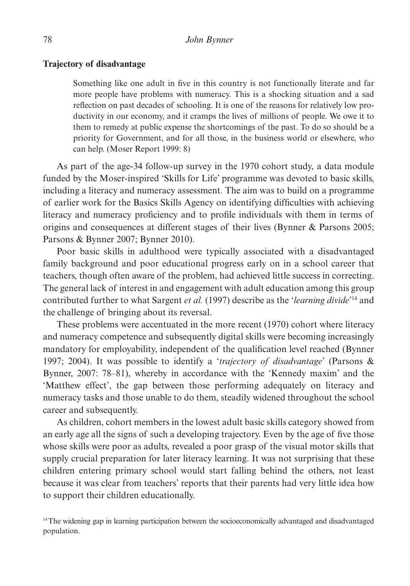#### **Trajectory of disadvantage**

Something like one adult in five in this country is not functionally literate and far more people have problems with numeracy. This is a shocking situation and a sad reflection on past decades of schooling. It is one of the reasons for relatively low productivity in our economy, and it cramps the lives of millions of people. We owe it to them to remedy at public expense the shortcomings of the past. To do so should be a priority for Government, and for all those, in the business world or elsewhere, who can help. (Moser Report 1999: 8)

As part of the age-34 follow-up survey in the 1970 cohort study, a data module funded by the Moser-inspired 'Skills for Life' programme was devoted to basic skills, including a literacy and numeracy assessment. The aim was to build on a programme of earlier work for the Basics Skills Agency on identifying difficulties with achieving literacy and numeracy proficiency and to profile individuals with them in terms of origins and consequences at different stages of their lives (Bynner & Parsons 2005; Parsons & Bynner 2007; Bynner 2010).

Poor basic skills in adulthood were typically associated with a disadvantaged family background and poor educational progress early on in a school career that teachers, though often aware of the problem, had achieved little success in correcting. The general lack of interest in and engagement with adult education among this group contributed further to what Sargent *et al.* (1997) describe as the '*learning divide*' <sup>14</sup> and the challenge of bringing about its reversal.

These problems were accentuated in the more recent (1970) cohort where literacy and numeracy competence and subsequently digital skills were becoming increasingly mandatory for employability, independent of the qualification level reached (Bynner 1997; 2004). It was possible to identify a '*trajectory of disadvantage*' (Parsons & Bynner, 2007: 78–81), whereby in accordance with the 'Kennedy maxim' and the 'Matthew effect', the gap between those performing adequately on literacy and numeracy tasks and those unable to do them, steadily widened throughout the school career and subsequently.

As children, cohort members in the lowest adult basic skills category showed from an early age all the signs of such a developing trajectory. Even by the age of five those whose skills were poor as adults, revealed a poor grasp of the visual motor skills that supply crucial preparation for later literacy learning. It was not surprising that these children entering primary school would start falling behind the others, not least because it was clear from teachers' reports that their parents had very little idea how to support their children educationally.

<sup>14</sup>The widening gap in learning participation between the socioeconomically advantaged and disadvantaged population.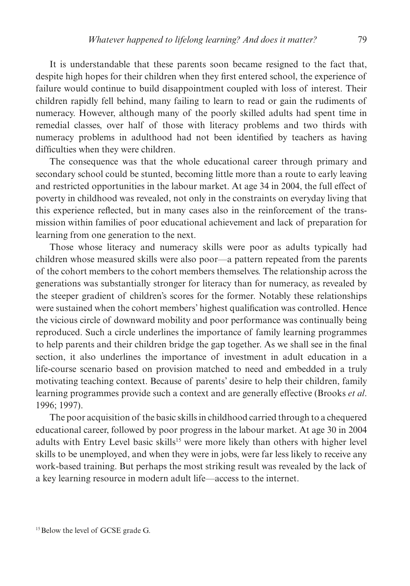It is understandable that these parents soon became resigned to the fact that, despite high hopes for their children when they first entered school, the experience of failure would continue to build disappointment coupled with loss of interest. Their children rapidly fell behind, many failing to learn to read or gain the rudiments of numeracy. However, although many of the poorly skilled adults had spent time in remedial classes, over half of those with literacy problems and two thirds with numeracy problems in adulthood had not been identified by teachers as having difficulties when they were children.

The consequence was that the whole educational career through primary and secondary school could be stunted, becoming little more than a route to early leaving and restricted opportunities in the labour market. At age 34 in 2004, the full effect of poverty in childhood was revealed, not only in the constraints on everyday living that this experience reflected, but in many cases also in the reinforcement of the transmission within families of poor educational achievement and lack of preparation for learning from one generation to the next.

Those whose literacy and numeracy skills were poor as adults typically had children whose measured skills were also poor—a pattern repeated from the parents of the cohort members to the cohort members themselves. The relationship across the generations was substantially stronger for literacy than for numeracy, as revealed by the steeper gradient of children's scores for the former. Notably these relationships were sustained when the cohort members' highest qualification was controlled. Hence the vicious circle of downward mobility and poor performance was continually being reproduced. Such a circle underlines the importance of family learning programmes to help parents and their children bridge the gap together. As we shall see in the final section, it also underlines the importance of investment in adult education in a life-course scenario based on provision matched to need and embedded in a truly motivating teaching context. Because of parents' desire to help their children, family learning programmes provide such a context and are generally effective (Brooks *et al*. 1996; 1997).

The poor acquisition of the basic skills in childhood carried through to a chequered educational career, followed by poor progress in the labour market. At age 30 in 2004 adults with Entry Level basic skills<sup>15</sup> were more likely than others with higher level skills to be unemployed, and when they were in jobs, were far less likely to receive any work-based training. But perhaps the most striking result was revealed by the lack of a key learning resource in modern adult life—access to the internet.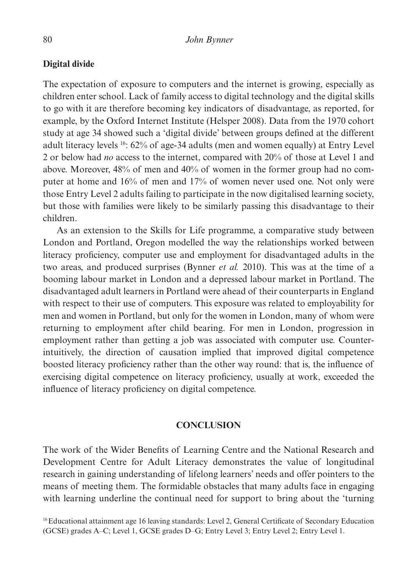# **Digital divide**

The expectation of exposure to computers and the internet is growing, especially as children enter school. Lack of family access to digital technology and the digital skills to go with it are therefore becoming key indicators of disadvantage, as reported, for example, by the Oxford Internet Institute (Helsper 2008). Data from the 1970 cohort study at age 34 showed such a 'digital divide' between groups defined at the different adult literacy levels 16: 62% of age-34 adults (men and women equally) at Entry Level 2 or below had *no* access to the internet, compared with 20% of those at Level 1 and above. Moreover, 48% of men and 40% of women in the former group had no computer at home and 16% of men and 17% of women never used one. Not only were those Entry Level 2 adults failing to participate in the now digitalised learning society, but those with families were likely to be similarly passing this disadvantage to their children.

As an extension to the Skills for Life programme, a comparative study between London and Portland, Oregon modelled the way the relationships worked between literacy proficiency, computer use and employment for disadvantaged adults in the two areas, and produced surprises (Bynner *et al.* 2010). This was at the time of a booming labour market in London and a depressed labour market in Portland. The disadvantaged adult learners in Portland were ahead of their counterparts in England with respect to their use of computers. This exposure was related to employability for men and women in Portland, but only for the women in London, many of whom were returning to employment after child bearing. For men in London, progression in employment rather than getting a job was associated with computer use. Counterintuitively, the direction of causation implied that improved digital competence boosted literacy proficiency rather than the other way round: that is, the influence of exercising digital competence on literacy proficiency, usually at work, exceeded the influence of literacy proficiency on digital competence.

## **CONCLUSION**

The work of the Wider Benefits of Learning Centre and the National Research and Development Centre for Adult Literacy demonstrates the value of longitudinal research in gaining understanding of lifelong learners' needs and offer pointers to the means of meeting them. The formidable obstacles that many adults face in engaging with learning underline the continual need for support to bring about the 'turning

<sup>16</sup> Educational attainment age 16 leaving standards: Level 2, General Certificate of Secondary Education (GCSE) grades A–C; Level 1, GCSE grades D–G; Entry Level 3; Entry Level 2; Entry Level 1.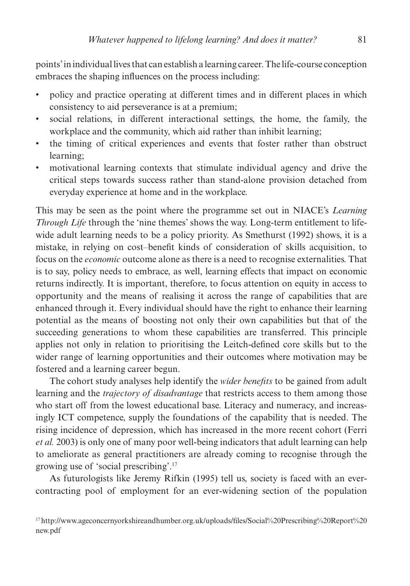points' in individual lives that can establish a learning career. The life-course conception embraces the shaping influences on the process including:

- policy and practice operating at different times and in different places in which consistency to aid perseverance is at a premium;
- social relations, in different interactional settings, the home, the family, the workplace and the community, which aid rather than inhibit learning;
- the timing of critical experiences and events that foster rather than obstruct learning;
- motivational learning contexts that stimulate individual agency and drive the critical steps towards success rather than stand-alone provision detached from everyday experience at home and in the workplace.

This may be seen as the point where the programme set out in NIACE's *Learning Through Life* through the 'nine themes' shows the way. Long-term entitlement to lifewide adult learning needs to be a policy priority. As Smethurst (1992) shows, it is a mistake, in relying on cost–benefit kinds of consideration of skills acquisition, to focus on the *economic* outcome alone as there is a need to recognise externalities. That is to say, policy needs to embrace, as well, learning effects that impact on economic returns indirectly. It is important, therefore, to focus attention on equity in access to opportunity and the means of realising it across the range of capabilities that are enhanced through it. Every individual should have the right to enhance their learning potential as the means of boosting not only their own capabilities but that of the succeeding generations to whom these capabilities are transferred. This principle applies not only in relation to prioritising the Leitch-defined core skills but to the wider range of learning opportunities and their outcomes where motivation may be fostered and a learning career begun.

The cohort study analyses help identify the *wider benefits* to be gained from adult learning and the *trajectory of disadvantage* that restricts access to them among those who start off from the lowest educational base. Literacy and numeracy, and increasingly ICT competence, supply the foundations of the capability that is needed. The rising incidence of depression, which has increased in the more recent cohort (Ferri *et al.* 2003) is only one of many poor well-being indicators that adult learning can help to ameliorate as general practitioners are already coming to recognise through the growing use of 'social prescribing'.17

As futurologists like Jeremy Rifkin (1995) tell us, society is faced with an evercontracting pool of employment for an ever-widening section of the population

<sup>17</sup>http://www.ageconcernyorkshireandhumber.org.uk/uploads/files/Social%20Prescribing%20Report%20 new.pdf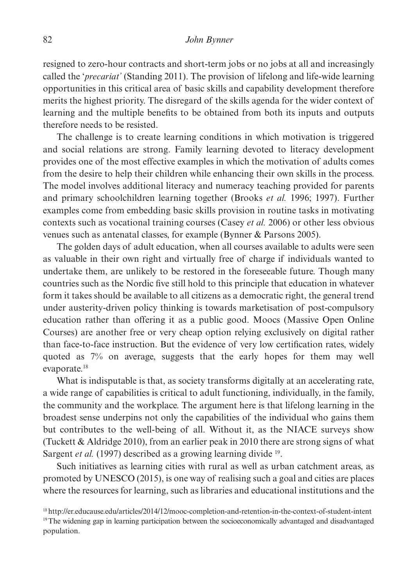resigned to zero-hour contracts and short-term jobs or no jobs at all and increasingly called the '*precariat'* (Standing 2011). The provision of lifelong and life-wide learning opportunities in this critical area of basic skills and capability development therefore merits the highest priority. The disregard of the skills agenda for the wider context of learning and the multiple benefits to be obtained from both its inputs and outputs therefore needs to be resisted.

The challenge is to create learning conditions in which motivation is triggered and social relations are strong. Family learning devoted to literacy development provides one of the most effective examples in which the motivation of adults comes from the desire to help their children while enhancing their own skills in the process. The model involves additional literacy and numeracy teaching provided for parents and primary schoolchildren learning together (Brooks *et al.* 1996; 1997). Further examples come from embedding basic skills provision in routine tasks in motivating contexts such as vocational training courses (Casey *et al.* 2006) or other less obvious venues such as antenatal classes, for example (Bynner & Parsons 2005).

The golden days of adult education, when all courses available to adults were seen as valuable in their own right and virtually free of charge if individuals wanted to undertake them, are unlikely to be restored in the foreseeable future. Though many countries such as the Nordic five still hold to this principle that education in whatever form it takes should be available to all citizens as a democratic right, the general trend under austerity-driven policy thinking is towards marketisation of post-compulsory education rather than offering it as a public good. Moocs (Massive Open Online Courses) are another free or very cheap option relying exclusively on digital rather than face-to-face instruction. But the evidence of very low certification rates, widely quoted as 7% on average, suggests that the early hopes for them may well evaporate.18

What is indisputable is that, as society transforms digitally at an accelerating rate, a wide range of capabilities is critical to adult functioning, individually, in the family, the community and the workplace. The argument here is that lifelong learning in the broadest sense underpins not only the capabilities of the individual who gains them but contributes to the well-being of all. Without it, as the NIACE surveys show (Tuckett & Aldridge 2010), from an earlier peak in 2010 there are strong signs of what Sargent *et al.* (1997) described as a growing learning divide <sup>19</sup>.

Such initiatives as learning cities with rural as well as urban catchment areas, as promoted by UNESCO (2015), is one way of realising such a goal and cities are places where the resources for learning, such as libraries and educational institutions and the

18http://er.educause.edu/articles/2014/12/mooc-completion-and-retention-in-the-context-of-student-intent <sup>19</sup>The widening gap in learning participation between the socioeconomically advantaged and disadvantaged population.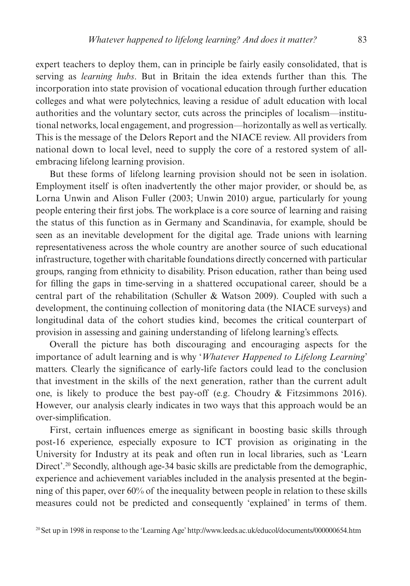expert teachers to deploy them, can in principle be fairly easily consolidated, that is serving as *learning hubs*. But in Britain the idea extends further than this. The incorporation into state provision of vocational education through further education colleges and what were polytechnics, leaving a residue of adult education with local authorities and the voluntary sector, cuts across the principles of localism—institutional networks, local engagement, and progression—horizontally as well as vertically. This is the message of the Delors Report and the NIACE review. All providers from national down to local level, need to supply the core of a restored system of allembracing lifelong learning provision.

But these forms of lifelong learning provision should not be seen in isolation. Employment itself is often inadvertently the other major provider, or should be, as Lorna Unwin and Alison Fuller (2003; Unwin 2010) argue, particularly for young people entering their first jobs. The workplace is a core source of learning and raising the status of this function as in Germany and Scandinavia, for example, should be seen as an inevitable development for the digital age. Trade unions with learning representativeness across the whole country are another source of such educational infrastructure, together with charitable foundations directly concerned with particular groups, ranging from ethnicity to disability. Prison education, rather than being used for filling the gaps in time-serving in a shattered occupational career, should be a central part of the rehabilitation (Schuller & Watson 2009). Coupled with such a development, the continuing collection of monitoring data (the NIACE surveys) and longitudinal data of the cohort studies kind, becomes the critical counterpart of provision in assessing and gaining understanding of lifelong learning's effects.

Overall the picture has both discouraging and encouraging aspects for the importance of adult learning and is why '*Whatever Happened to Lifelong Learning*' matters. Clearly the significance of early-life factors could lead to the conclusion that investment in the skills of the next generation, rather than the current adult one, is likely to produce the best pay-off (e.g. Choudry  $\&$  Fitzsimmons 2016). However, our analysis clearly indicates in two ways that this approach would be an over-simplification.

First, certain influences emerge as significant in boosting basic skills through post-16 experience, especially exposure to ICT provision as originating in the University for Industry at its peak and often run in local libraries, such as 'Learn Direct'.<sup>20</sup> Secondly, although age-34 basic skills are predictable from the demographic, experience and achievement variables included in the analysis presented at the beginning of this paper, over 60% of the inequality between people in relation to these skills measures could not be predicted and consequently 'explained' in terms of them.

20Set up in 1998 in response to the 'Learning Age' http://www.leeds.ac.uk/educol/documents/000000654.htm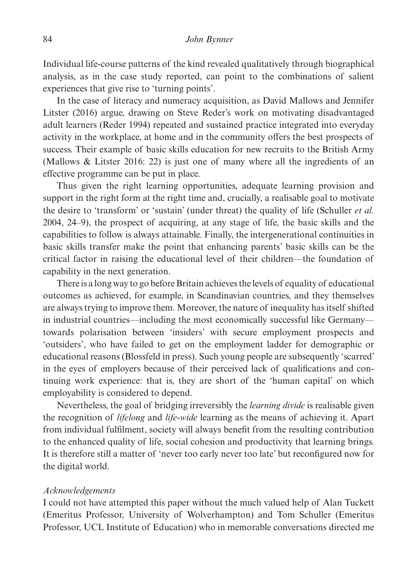Individual life-course patterns of the kind revealed qualitatively through biographical analysis, as in the case study reported, can point to the combinations of salient experiences that give rise to 'turning points'.

In the case of literacy and numeracy acquisition, as David Mallows and Jennifer Litster (2016) argue, drawing on Steve Reder's work on motivating disadvantaged adult learners (Reder 1994) repeated and sustained practice integrated into everyday activity in the workplace, at home and in the community offers the best prospects of success. Their example of basic skills education for new recruits to the British Army (Mallows & Litster 2016: 22) is just one of many where all the ingredients of an effective programme can be put in place.

Thus given the right learning opportunities, adequate learning provision and support in the right form at the right time and, crucially, a realisable goal to motivate the desire to 'transform' or 'sustain' (under threat) the quality of life (Schuller *et al.*  2004, 24–9), the prospect of acquiring, at any stage of life, the basic skills and the capabilities to follow is always attainable. Finally, the intergenerational continuities in basic skills transfer make the point that enhancing parents' basic skills can be the critical factor in raising the educational level of their children—the foundation of capability in the next generation.

There is a long way to go before Britain achieves the levels of equality of educational outcomes as achieved, for example, in Scandinavian countries, and they themselves are always trying to improve them. Moreover, the nature of inequality has itself shifted in industrial countries—including the most economically successful like Germany towards polarisation between 'insiders' with secure employment prospects and 'outsiders', who have failed to get on the employment ladder for demographic or educational reasons (Blossfeld in press). Such young people are subsequently 'scarred' in the eyes of employers because of their perceived lack of qualifications and continuing work experience: that is, they are short of the 'human capital' on which employability is considered to depend.

Nevertheless, the goal of bridging irreversibly the *learning divide* is realisable given the recognition of *lifelong* and *life-wide* learning as the means of achieving it. Apart from individual fulfilment, society will always benefit from the resulting contribution to the enhanced quality of life, social cohesion and productivity that learning brings. It is therefore still a matter of 'never too early never too late' but reconfigured now for the digital world.

## *Acknowledgements*

I could not have attempted this paper without the much valued help of Alan Tuckett (Emeritus Professor, University of Wolverhampton) and Tom Schuller (Emeritus Professor, UCL Institute of Education) who in memorable conversations directed me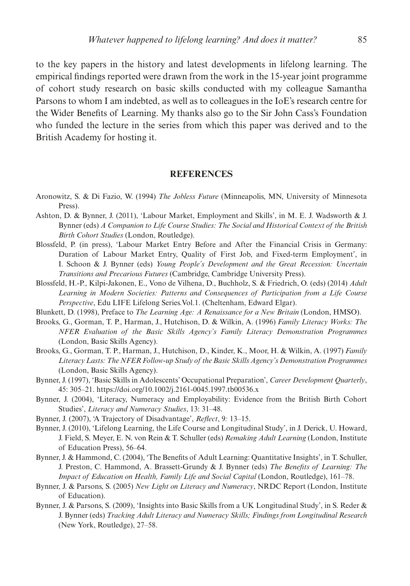to the key papers in the history and latest developments in lifelong learning. The empirical findings reported were drawn from the work in the 15-year joint programme of cohort study research on basic skills conducted with my colleague Samantha Parsons to whom I am indebted, as well as to colleagues in the IoE's research centre for the Wider Benefits of Learning. My thanks also go to the Sir John Cass's Foundation who funded the lecture in the series from which this paper was derived and to the British Academy for hosting it.

#### **REFERENCES**

- Aronowitz, S. & Di Fazio, W. (1994) *The Jobless Future* (Minneapolis, MN, University of Minnesota Press).
- Ashton, D. & Bynner, J. (2011), 'Labour Market, Employment and Skills', in M. E. J. Wadsworth & J. Bynner (eds) *A Companion to Life Course Studies: The Social and Historical Context of the British Birth Cohort Studies* (London, Routledge).
- Blossfeld, P. (in press), 'Labour Market Entry Before and After the Financial Crisis in Germany: Duration of Labour Market Entry, Quality of First Job, and Fixed-term Employment', in I. Schoon & J. Bynner (eds) *Young People's Development and the Great Recession: Uncertain Transitions and Precarious Futures* (Cambridge, Cambridge University Press).
- Blossfeld, H.-P., Kilpi-Jakonen, E., Vono de Vilhena, D., Buchholz, S. & Friedrich, O. (eds) (2014) *Adult Learning in Modern Societies: Patterns and Consequences of Participation from a Life Course Perspective*, Edu LIFE Lifelong Series.Vol.1. (Cheltenham, Edward Elgar).
- Blunkett, D. (1998), Preface to *The Learning Age: A Renaissance for a New Britain* (London, HMSO).
- Brooks, G., Gorman, T. P., Harman, J., Hutchison, D. & Wilkin, A. (1996) *Family Literacy Works: The NFER Evaluation of the Basic Skills Agency's Family Literacy Demonstration Programmes* (London, Basic Skills Agency).
- Brooks, G., Gorman, T. P., Harman, J., Hutchison, D., Kinder, K., Moor, H. & Wilkin, A. (1997) *Family Literacy Lasts: The NFER Follow-up Study of the Basic Skills Agency's Demonstration Programmes*  (London, Basic Skills Agency).
- Bynner, J. (1997), 'Basic Skills in Adolescents' Occupational Preparation', *Career Development Quarterly*, 45: 305–21. https://doi.org/10.1002/j.2161-0045.1997.tb00536.x
- Bynner, J. (2004), 'Literacy, Numeracy and Employability: Evidence from the British Birth Cohort Studies', *Literacy and Numeracy Studies*, 13: 31–48.
- Bynner, J. (2007), 'A Trajectory of Disadvantage', *Reflect*, 9*:* 13–15.
- Bynner, J. (2010), 'Lifelong Learning, the Life Course and Longitudinal Study', in J. Derick, U. Howard, J. Field, S. Meyer, E. N. von Rein & T. Schuller (eds) *Remaking Adult Learning* (London, Institute of Education Press), 56–64.
- Bynner, J. & Hammond, C. (2004), 'The Benefits of Adult Learning: Quantitative Insights', in T. Schuller, J. Preston, C. Hammond, A. Brassett-Grundy & J. Bynner (eds) *The Benefits of Learning: The Impact of Education on Health, Family Life and Social Capital (London, Routledge), 161–78.*
- Bynner, J. & Parsons, S. (2005) *New Light on Literacy and Numeracy*, NRDC Report (London, Institute of Education).
- Bynner, J. & Parsons, S. (2009), 'Insights into Basic Skills from a UK Longitudinal Study', in S. Reder & J. Bynner (eds) *Tracking Adult Literacy and Numeracy Skills; Findings from Longitudinal Research* (New York, Routledge), 27–58.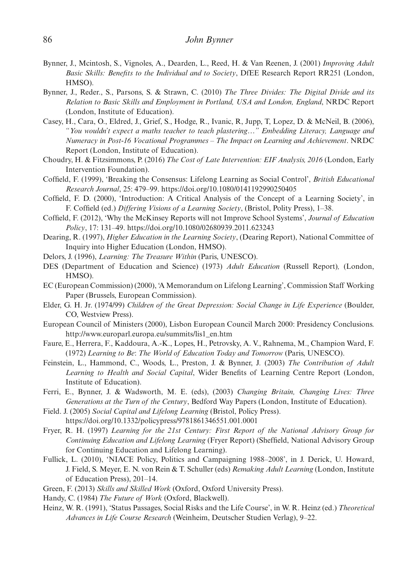- Bynner, J., Mcintosh, S., Vignoles, A., Dearden, L., Reed, H. & Van Reenen, J. (2001) *Improving Adult Basic Skills: Benefits to the Individual and to Society*, DfEE Research Report RR251 (London, HMSO).
- Bynner, J., Reder., S., Parsons, S. & Strawn, C. (2010) *The Three Divides: The Digital Divide and its Relation to Basic Skills and Employment in Portland, USA and London, England*, NRDC Report (London, Institute of Education).
- Casey, H., Cara, O., Eldred, J., Grief, S., Hodge, R., Ivanic, R, Jupp, T, Lopez, D. & McNeil, B. (2006), *"You wouldn't expect a maths teacher to teach plastering…" Embedding Literacy, Language and Numeracy in Post-16 Vocational Programmes – The Impact on Learning and Achievement*. NRDC Report (London, Institute of Education).
- Choudry, H. & Fitzsimmons, P. (2016) *The Cost of Late Intervention: EIF Analysis, 2016* (London, Early Intervention Foundation).
- Coffield, F. (1999), 'Breaking the Consensus: Lifelong Learning as Social Control', *British Educational Research Journal*, 25: 479–99. https://doi.org/10.1080/0141192990250405
- Coffield, F. D. (2000), 'Introduction: A Critical Analysis of the Concept of a Learning Society', in F. Coffield (ed.) *Differing Visions of a Learning Society*, (Bristol, Polity Press), 1–38.
- Coffield, F. (2012), 'Why the McKinsey Reports will not Improve School Systems', *Journal of Education Policy*, 17: 131–49. https://doi.org/10.1080/02680939.2011.623243
- Dearing, R. (1997), *Higher Education in the Learning Society*, (Dearing Report), National Committee of Inquiry into Higher Education (London, HMSO).
- Delors, J. (1996), *Learning: The Treasure Within* (Paris, UNESCO).
- DES (Department of Education and Science) (1973) *Adult Education* (Russell Report)*,* (London, HMSO).
- EC (European Commission) (2000), 'A Memorandum on Lifelong Learning', Commission Staff Working Paper (Brussels, European Commission).
- Elder, G. H. Jr. (1974/99) *Children of the Great Depression: Social Change in Life Experience* (Boulder, CO, Westview Press).
- European Council of Ministers (2000), Lisbon European Council March 2000: Presidency Conclusions. http://www.europarl.europa.eu/summits/lis1\_en.htm
- Faure, E., Herrera, F., Kaddoura, A.-K., Lopes, H., Petrovsky, A. V., Rahnema, M., Champion Ward, F. (1972) *Learning to Be*: *The World of Education Today and Tomorrow* (Paris, UNESCO).
- Feinstein, L., Hammond, C., Woods, L., Preston, J. & Bynner, J*.* (2003) *The Contribution of Adult Learning to Health and Social Capital*, Wider Benefits of Learning Centre Report (London, Institute of Education).
- Ferri, E., Bynner, J. & Wadsworth, M. E. (eds), (2003) *Changing Britain, Changing Lives: Three Generations at the Turn of the Century*, Bedford Way Papers (London, Institute of Education).
- Field. J. (2005) *Social Capital and Lifelong Learning* (Bristol, Policy Press). https://doi.org/10.1332/policypress/9781861346551.001.0001
- Fryer, R. H. (1997) *Learning for the 21st Century: First Report of the National Advisory Group for Continuing Education and Lifelong Learning* (Fryer Report) (Sheffield, National Advisory Group for Continuing Education and Lifelong Learning).
- Fullick, L. (2010), 'NIACE Policy, Politics and Campaigning 1988–2008', in J. Derick, U. Howard, J. Field, S. Meyer, E. N. von Rein & T. Schuller (eds) *Remaking Adult Learning* (London, Institute of Education Press), 201–14.
- Green, F. (2013) *Skills and Skilled Work* (Oxford, Oxford University Press).
- Handy, C. (1984) *The Future of Work* (Oxford, Blackwell).
- Heinz, W. R. (1991), 'Status Passages, Social Risks and the Life Course', in W. R. Heinz (ed.) *Theoretical Advances in Life Course Research* (Weinheim, Deutscher Studien Verlag), 9–22.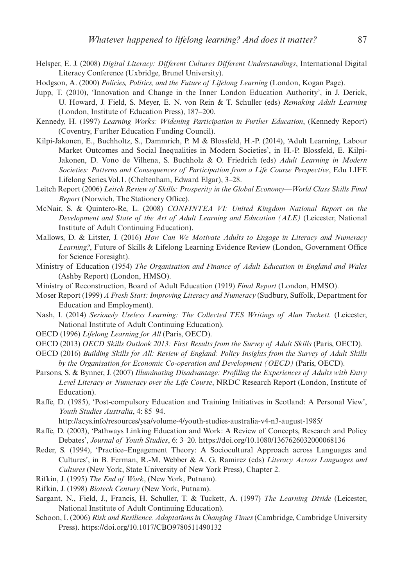- Helsper, E. J. (2008) *Digital Literacy: Different Cultures Different Understandings*, International Digital Literacy Conference (Uxbridge, Brunel University).
- Hodgson, A. (2000) *Policies, Politics, and the Future of Lifelong Learning* (London, Kogan Page).
- Jupp, T. (2010), 'Innovation and Change in the Inner London Education Authority', in J. Derick, U. Howard, J. Field, S. Meyer, E. N. von Rein & T. Schuller (eds) *Remaking Adult Learning*  (London, Institute of Education Press), 187–200.
- Kennedy, H. (1997) *Learning Works: Widening Participation in Further Education*, (Kennedy Report) (Coventry, Further Education Funding Council).
- Kilpi-Jakonen, E., Buchholtz, S., Dammrich, P. M & Blossfeld, H.-P. (2014), 'Adult Learning, Labour Market Outcomes and Social Inequalities in Modern Societies', in H.-P. Blossfeld, E. Kilpi-Jakonen, D. Vono de Vilhena, S. Buchholz & O. Friedrich (eds) *Adult Learning in Modern Societies: Patterns and Consequences of Participation from a Life Course Perspective*, Edu LIFE Lifelong Series.Vol.1. (Cheltenham, Edward Elgar), 3–28.
- Leitch Report (2006) *Leitch Review of Skills: Prosperity in the Global Economy—World Class Skills Final Report* (Norwich, The Stationery Office).
- McNair, S. & Quintero-Re, L. (2008) *CONFINTEA VI: United Kingdom National Report on the Development and State of the Art of Adult Learning and Education (ALE)* (Leicester, National Institute of Adult Continuing Education).
- Mallows, D. & Litster, J. (2016) *How Can We Motivate Adults to Engage in Literacy and Numeracy Learning?*, Future of Skills & Lifelong Learning Evidence Review (London, Government Office for Science Foresight).
- Ministry of Education (1954) *The Organisation and Finance of Adult Education in England and Wales* (Ashby Report) (London, HMSO).
- Ministry of Reconstruction, Board of Adult Education (1919) *Final Report* (London, HMSO).
- Moser Report (1999) *A Fresh Start: Improving Literacy and Numeracy* (Sudbury, Suffolk, Department for Education and Employment).
- Nash, I. (2014) *Seriously Useless Learning: The Collected TES Writings of Alan Tuckett.* (Leicester, National Institute of Adult Continuing Education).
- OECD (1996) *Lifelong Learning for All* (Paris, OECD).
- OECD (2013) *OECD Skills Outlook 2013: First Results from the Survey of Adult Skills* (Paris, OECD).
- OECD (2016) *Building Skills for All: Review of England: Policy Insights from the Survey of Adult Skills by the Organisation for Economic Co-operation and Development (OECD)* (Paris, OECD).
- Parsons, S. & Bynner, J. (2007) *Illuminating Disadvantage: Profiling the Experiences of Adults with Entry Level Literacy or Numeracy over the Life Course*, NRDC Research Report (London, Institute of Education).
- Raffe, D. (1985), 'Post-compulsory Education and Training Initiatives in Scotland: A Personal View', *Youth Studies Australia*, 4: 85–94.
	- http://acys.info/resources/ysa/volume-4/youth-studies-australia-v4-n3-august-1985/
- Raffe, D. (2003), 'Pathways Linking Education and Work: A Review of Concepts, Research and Policy Debates', *Journal of Youth Studies*, 6: 3–20. https://doi.org/10.1080/1367626032000068136
- Reder, S. (1994), 'Practice–Engagement Theory: A Sociocultural Approach across Languages and Cultures', in B. Ferman, R.-M. Webber & A. G. Ramirez (eds) *Literacy Across Languages and Cultures* (New York, State University of New York Press), Chapter 2.
- Rifkin, J. (1995) *The End of Work*, (New York, Putnam).
- Rifkin, J. (1998) *Biotech Century* (New York, Putnam).
- Sargant, N., Field, J., Francis, H. Schuller, T. & Tuckett, A. (1997) *The Learning Divide* (Leicester, National Institute of Adult Continuing Education).
- Schoon, I. (2006) *Risk and Resilience. Adaptations in Changing Times* (Cambridge, Cambridge University Press). https://doi.org/10.1017/CBO9780511490132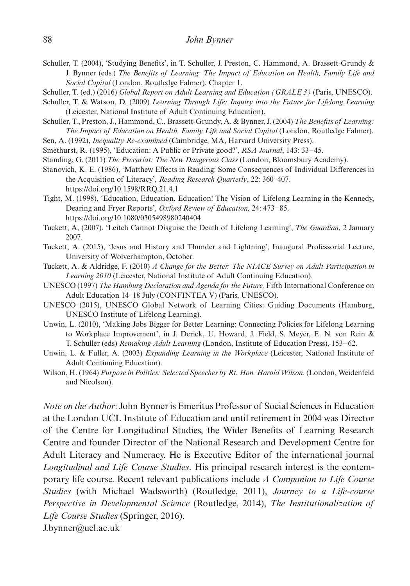- Schuller, T. (2004), 'Studying Benefits', in T. Schuller, J. Preston, C. Hammond, A. Brassett-Grundy & J. Bynner (eds.) *The Benefits of Learning: The Impact of Education on Health, Family Life and Social Capital* (London, Routledge Falmer), Chapter 1.
- Schuller, T. (ed.) (2016) *Global Report on Adult Learning and Education (GRALE 3)* (Paris, UNESCO).
- Schuller, T. & Watson, D. (2009) *Learning Through Life: Inquiry into the Future for Lifelong Learning*  (Leicester, National Institute of Adult Continuing Education).
- Schuller, T., Preston, J., Hammond, C., Brassett-Grundy, A. & Bynner, J. (2004) *The Benefits of Learning: The Impact of Education on Health, Family Life and Social Capital* (London, Routledge Falmer).
- Sen, A. (1992), *Inequality Re-examined* (Cambridge, MA, Harvard University Press).
- Smethurst, R. (1995), 'Education: A Public or Private good?', *RSA Journal*, 143: 33−45.
- Standing, G. (2011) *The Precariat: The New Dangerous Class* (London, Bloomsbury Academy).
- Stanovich, K. E. (1986), 'Matthew Effects in Reading: Some Consequences of Individual Differences in the Acquisition of Literacy', *Reading Research Quarterly*, 22: 360–407. https://doi.org/10.1598/RRQ.21.4.1
- Tight, M. (1998), 'Education, Education, Education! The Vision of Lifelong Learning in the Kennedy, Dearing and Fryer Reports', *Oxford Review of Education,* 24: 473−85. https://doi.org/10.1080/0305498980240404
- Tuckett, A, (2007), 'Leitch Cannot Disguise the Death of Lifelong Learning', *The Guardian*, 2 January 2007.
- Tuckett, A. (2015), 'Jesus and History and Thunder and Lightning', Inaugural Professorial Lecture, University of Wolverhampton, October.
- Tuckett, A. & Aldridge, F. (2010) *A Change for the Better: The NIACE Survey on Adult Participation in Learning 2010* (Leicester, National Institute of Adult Continuing Education).
- UNESCO (1997) *The Hamburg Declaration and Agenda for the Future,* Fifth International Conference on Adult Education 14–18 July (CONFINTEA V) (Paris, UNESCO).
- UNESCO (2015), UNESCO Global Network of Learning Cities: Guiding Documents (Hamburg, UNESCO Institute of Lifelong Learning).
- Unwin, L. (2010), 'Making Jobs Bigger for Better Learning: Connecting Policies for Lifelong Learning to Workplace Improvement', in J. Derick, U. Howard, J. Field, S. Meyer, E. N. von Rein & T. Schuller (eds) *Remaking Adult Learning* (London, Institute of Education Press), 153−62.
- Unwin, L. & Fuller, A. (2003) *Expanding Learning in the Workplace* (Leicester, National Institute of Adult Continuing Education).
- Wilson, H. (1964) *Purpose in Politics: Selected Speeches by Rt. Hon. Harold Wilson*. (London, Weidenfeld and Nicolson).

*Note on the Author*: John Bynner is Emeritus Professor of Social Sciences in Education at the London UCL Institute of Education and until retirement in 2004 was Director of the Centre for Longitudinal Studies, the Wider Benefits of Learning Research Centre and founder Director of the National Research and Development Centre for Adult Literacy and Numeracy. He is Executive Editor of the international journal *Longitudinal and Life Course Studies*. His principal research interest is the contemporary life course. Recent relevant publications include *A Companion to Life Course Studies* (with Michael Wadsworth) (Routledge, 2011), *Journey to a Life-course Perspective in Developmental Science* (Routledge, 2014), *The Institutionalization of Life Course Studies* (Springer, 2016). J.bynner@ucl.ac.uk